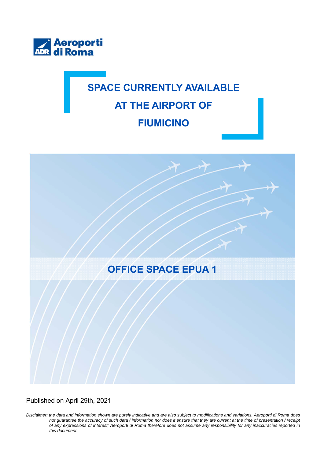

## **SPACE CURRENTLY AVAILABLE AT THE AIRPORT OF FIUMICINO**



Published on April 29th, 2021

*Disclaimer: the data and information shown are purely indicative and are also subject to modifications and variations. Aeroporti di Roma does not guarantee the accuracy of such data / information nor does it ensure that they are current at the time of presentation / receipt of any expressions of interest; Aeroporti di Roma therefore does not assume any responsibility for any inaccuracies reported in this document.*